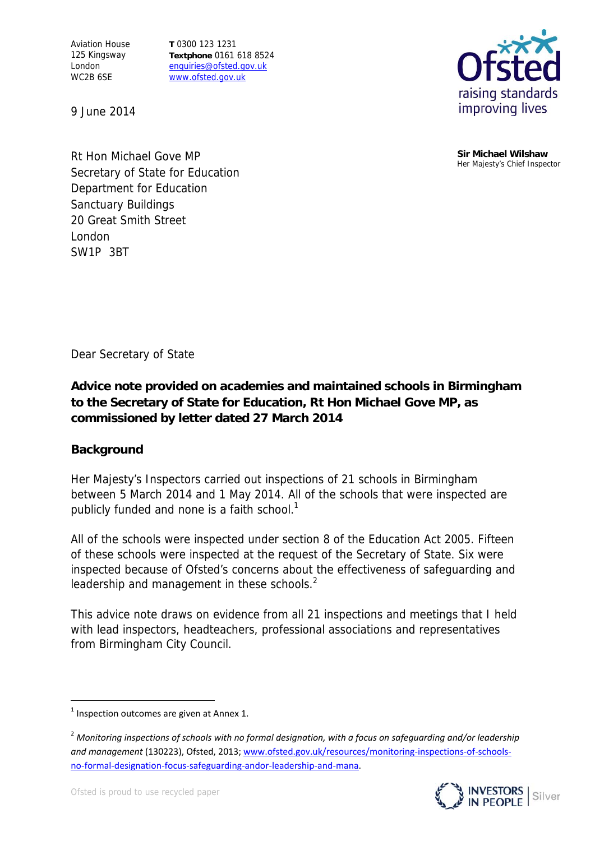Aviation House 125 Kingsway London WC2B 6SE

**T** 0300 123 1231 **Textphone** 0161 618 8524 enquiries@ofsted.gov.uk www.ofsted.gov.uk



**Sir Michael Wilshaw**  Her Majesty's Chief Inspector

9 June 2014

Rt Hon Michael Gove MP Secretary of State for Education Department for Education Sanctuary Buildings 20 Great Smith Street London SW1P 3BT

Dear Secretary of State

## **Advice note provided on academies and maintained schools in Birmingham to the Secretary of State for Education, Rt Hon Michael Gove MP, as commissioned by letter dated 27 March 2014**

## **Background**

-

Her Majesty's Inspectors carried out inspections of 21 schools in Birmingham between 5 March 2014 and 1 May 2014. All of the schools that were inspected are publicly funded and none is a faith school. $1$ 

All of the schools were inspected under section 8 of the Education Act 2005. Fifteen of these schools were inspected at the request of the Secretary of State. Six were inspected because of Ofsted's concerns about the effectiveness of safeguarding and leadership and management in these schools. $2$ 

This advice note draws on evidence from all 21 inspections and meetings that I held with lead inspectors, headteachers, professional associations and representatives from Birmingham City Council.

<sup>2</sup> *Monitoring inspections of schools with no formal designation, with a focus on safeguarding and/or leadership and management* (130223), Ofsted, 2013; www.ofsted.gov.uk/resources/monitoring‐inspections‐of‐schools‐ no‐formal‐designation‐focus‐safeguarding‐andor‐leadership‐and‐mana.



 $1$  Inspection outcomes are given at Annex 1.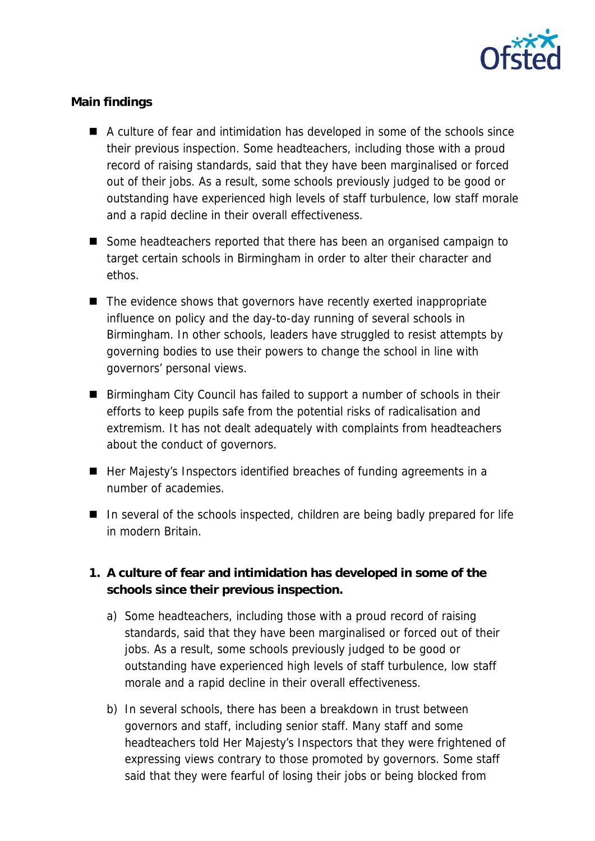

#### **Main findings**

- A culture of fear and intimidation has developed in some of the schools since their previous inspection. Some headteachers, including those with a proud record of raising standards, said that they have been marginalised or forced out of their jobs. As a result, some schools previously judged to be good or outstanding have experienced high levels of staff turbulence, low staff morale and a rapid decline in their overall effectiveness.
- Some headteachers reported that there has been an organised campaign to target certain schools in Birmingham in order to alter their character and ethos.
- $\blacksquare$  The evidence shows that governors have recently exerted inappropriate influence on policy and the day-to-day running of several schools in Birmingham. In other schools, leaders have struggled to resist attempts by governing bodies to use their powers to change the school in line with governors' personal views.
- Birmingham City Council has failed to support a number of schools in their efforts to keep pupils safe from the potential risks of radicalisation and extremism. It has not dealt adequately with complaints from headteachers about the conduct of governors.
- Her Majesty's Inspectors identified breaches of funding agreements in a number of academies.
- In several of the schools inspected, children are being badly prepared for life in modern Britain.

## **1. A culture of fear and intimidation has developed in some of the schools since their previous inspection.**

- a) Some headteachers, including those with a proud record of raising standards, said that they have been marginalised or forced out of their jobs. As a result, some schools previously judged to be good or outstanding have experienced high levels of staff turbulence, low staff morale and a rapid decline in their overall effectiveness.
- b) In several schools, there has been a breakdown in trust between governors and staff, including senior staff. Many staff and some headteachers told Her Majesty's Inspectors that they were frightened of expressing views contrary to those promoted by governors. Some staff said that they were fearful of losing their jobs or being blocked from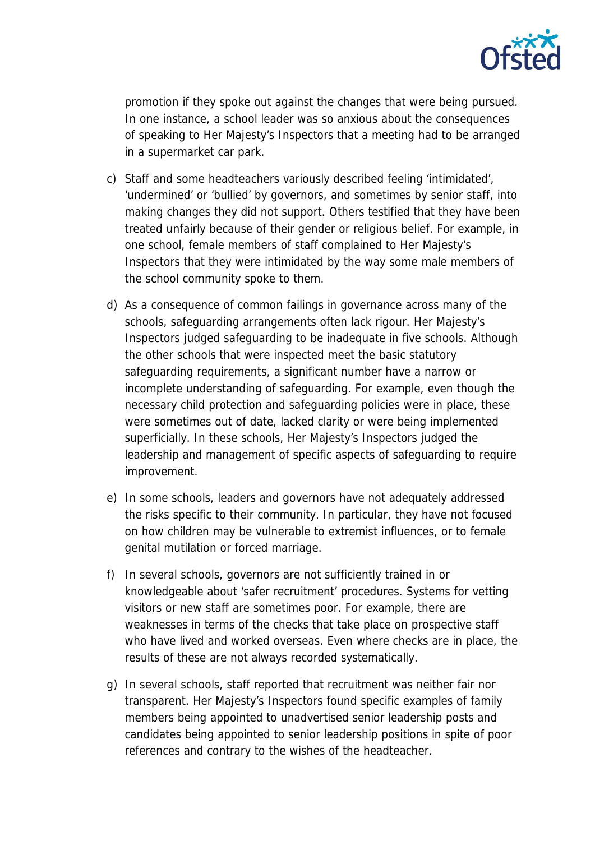

promotion if they spoke out against the changes that were being pursued. In one instance, a school leader was so anxious about the consequences of speaking to Her Majesty's Inspectors that a meeting had to be arranged in a supermarket car park.

- c) Staff and some headteachers variously described feeling 'intimidated', 'undermined' or 'bullied' by governors, and sometimes by senior staff, into making changes they did not support. Others testified that they have been treated unfairly because of their gender or religious belief. For example, in one school, female members of staff complained to Her Majesty's Inspectors that they were intimidated by the way some male members of the school community spoke to them.
- d) As a consequence of common failings in governance across many of the schools, safeguarding arrangements often lack rigour. Her Majesty's Inspectors judged safeguarding to be inadequate in five schools. Although the other schools that were inspected meet the basic statutory safeguarding requirements, a significant number have a narrow or incomplete understanding of safeguarding. For example, even though the necessary child protection and safeguarding policies were in place, these were sometimes out of date, lacked clarity or were being implemented superficially. In these schools, Her Majesty's Inspectors judged the leadership and management of specific aspects of safeguarding to require improvement.
- e) In some schools, leaders and governors have not adequately addressed the risks specific to their community. In particular, they have not focused on how children may be vulnerable to extremist influences, or to female genital mutilation or forced marriage.
- f) In several schools, governors are not sufficiently trained in or knowledgeable about 'safer recruitment' procedures. Systems for vetting visitors or new staff are sometimes poor. For example, there are weaknesses in terms of the checks that take place on prospective staff who have lived and worked overseas. Even where checks are in place, the results of these are not always recorded systematically.
- g) In several schools, staff reported that recruitment was neither fair nor transparent. Her Majesty's Inspectors found specific examples of family members being appointed to unadvertised senior leadership posts and candidates being appointed to senior leadership positions in spite of poor references and contrary to the wishes of the headteacher.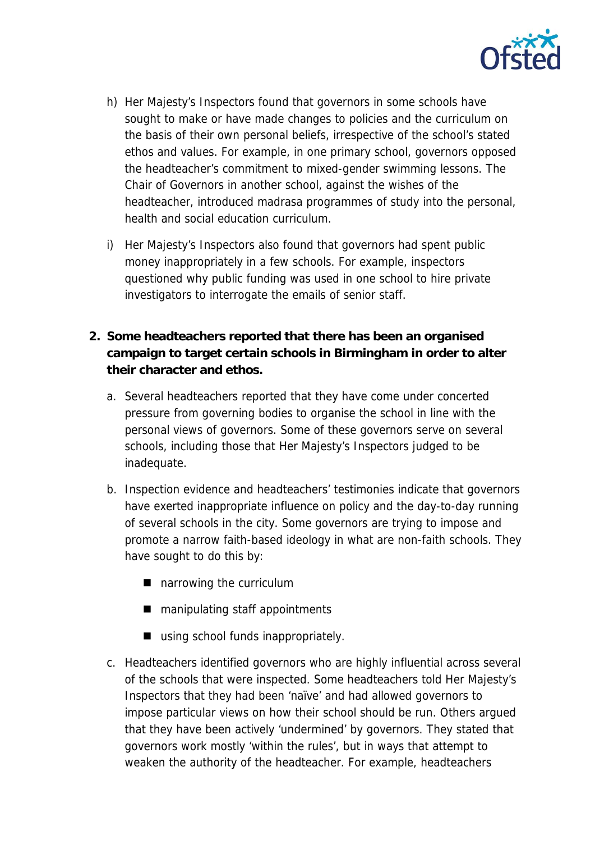

- h) Her Majesty's Inspectors found that governors in some schools have sought to make or have made changes to policies and the curriculum on the basis of their own personal beliefs, irrespective of the school's stated ethos and values. For example, in one primary school, governors opposed the headteacher's commitment to mixed-gender swimming lessons. The Chair of Governors in another school, against the wishes of the headteacher, introduced madrasa programmes of study into the personal, health and social education curriculum.
- i) Her Majesty's Inspectors also found that governors had spent public money inappropriately in a few schools. For example, inspectors questioned why public funding was used in one school to hire private investigators to interrogate the emails of senior staff.

## **2. Some headteachers reported that there has been an organised campaign to target certain schools in Birmingham in order to alter their character and ethos.**

- a. Several headteachers reported that they have come under concerted pressure from governing bodies to organise the school in line with the personal views of governors. Some of these governors serve on several schools, including those that Her Majesty's Inspectors judged to be inadequate.
- b. Inspection evidence and headteachers' testimonies indicate that governors have exerted inappropriate influence on policy and the day-to-day running of several schools in the city. Some governors are trying to impose and promote a narrow faith-based ideology in what are non-faith schools. They have sought to do this by:
	- narrowing the curriculum
	- manipulating staff appointments
	- using school funds inappropriately.
- c. Headteachers identified governors who are highly influential across several of the schools that were inspected. Some headteachers told Her Majesty's Inspectors that they had been 'naïve' and had allowed governors to impose particular views on how their school should be run. Others argued that they have been actively 'undermined' by governors. They stated that governors work mostly 'within the rules', but in ways that attempt to weaken the authority of the headteacher. For example, headteachers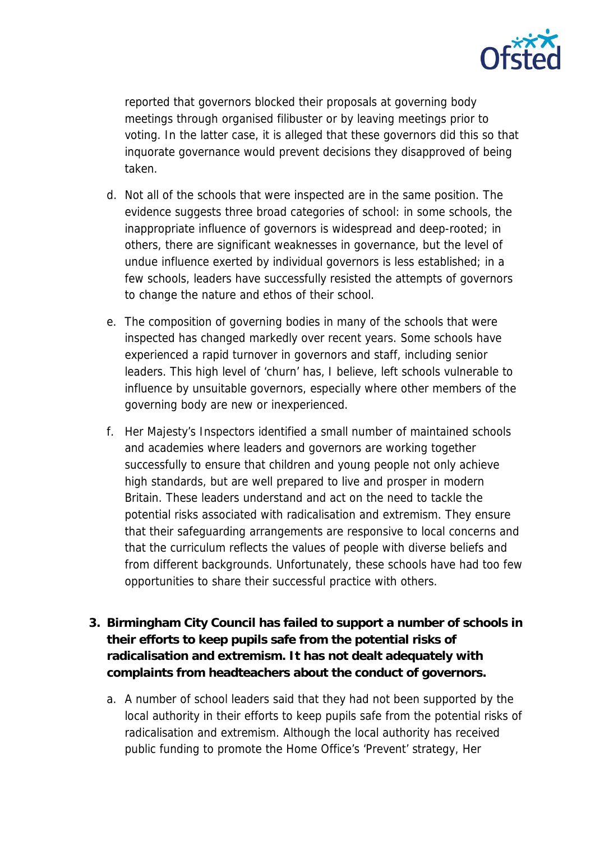

reported that governors blocked their proposals at governing body meetings through organised filibuster or by leaving meetings prior to voting. In the latter case, it is alleged that these governors did this so that inquorate governance would prevent decisions they disapproved of being taken.

- d. Not all of the schools that were inspected are in the same position. The evidence suggests three broad categories of school: in some schools, the inappropriate influence of governors is widespread and deep-rooted; in others, there are significant weaknesses in governance, but the level of undue influence exerted by individual governors is less established; in a few schools, leaders have successfully resisted the attempts of governors to change the nature and ethos of their school.
- e. The composition of governing bodies in many of the schools that were inspected has changed markedly over recent years. Some schools have experienced a rapid turnover in governors and staff, including senior leaders. This high level of 'churn' has, I believe, left schools vulnerable to influence by unsuitable governors, especially where other members of the governing body are new or inexperienced.
- f. Her Majesty's Inspectors identified a small number of maintained schools and academies where leaders and governors are working together successfully to ensure that children and young people not only achieve high standards, but are well prepared to live and prosper in modern Britain. These leaders understand and act on the need to tackle the potential risks associated with radicalisation and extremism. They ensure that their safeguarding arrangements are responsive to local concerns and that the curriculum reflects the values of people with diverse beliefs and from different backgrounds. Unfortunately, these schools have had too few opportunities to share their successful practice with others.
- **3. Birmingham City Council has failed to support a number of schools in their efforts to keep pupils safe from the potential risks of radicalisation and extremism. It has not dealt adequately with complaints from headteachers about the conduct of governors.** 
	- a. A number of school leaders said that they had not been supported by the local authority in their efforts to keep pupils safe from the potential risks of radicalisation and extremism. Although the local authority has received public funding to promote the Home Office's 'Prevent' strategy, Her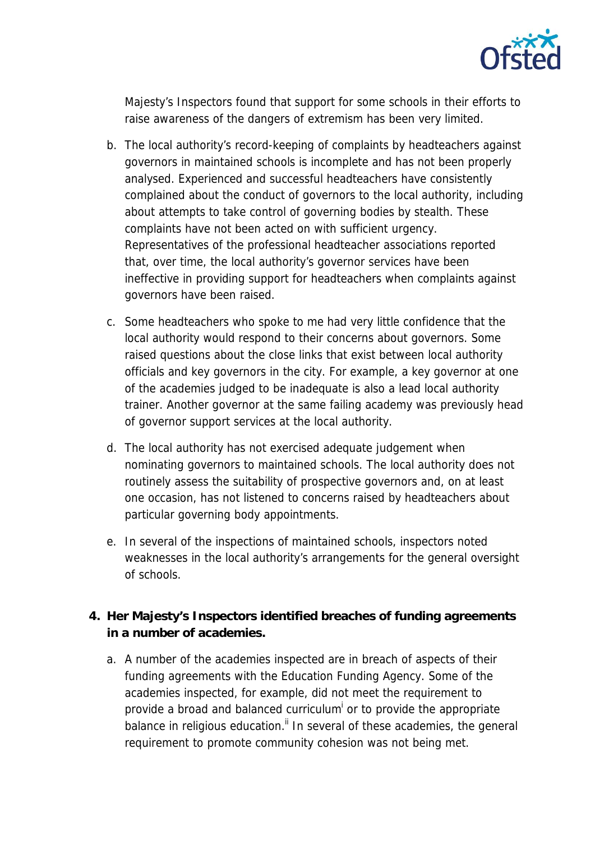

Majesty's Inspectors found that support for some schools in their efforts to raise awareness of the dangers of extremism has been very limited.

- b. The local authority's record-keeping of complaints by headteachers against governors in maintained schools is incomplete and has not been properly analysed. Experienced and successful headteachers have consistently complained about the conduct of governors to the local authority, including about attempts to take control of governing bodies by stealth. These complaints have not been acted on with sufficient urgency. Representatives of the professional headteacher associations reported that, over time, the local authority's governor services have been ineffective in providing support for headteachers when complaints against governors have been raised.
- c. Some headteachers who spoke to me had very little confidence that the local authority would respond to their concerns about governors. Some raised questions about the close links that exist between local authority officials and key governors in the city. For example, a key governor at one of the academies judged to be inadequate is also a lead local authority trainer. Another governor at the same failing academy was previously head of governor support services at the local authority.
- d. The local authority has not exercised adequate judgement when nominating governors to maintained schools. The local authority does not routinely assess the suitability of prospective governors and, on at least one occasion, has not listened to concerns raised by headteachers about particular governing body appointments.
- e. In several of the inspections of maintained schools, inspectors noted weaknesses in the local authority's arrangements for the general oversight of schools.

## **4. Her Majesty's Inspectors identified breaches of funding agreements in a number of academies.**

a. A number of the academies inspected are in breach of aspects of their funding agreements with the Education Funding Agency. Some of the academies inspected, for example, did not meet the requirement to provide a broad and balanced curriculum<sup>i</sup> or to provide the appropriate balance in religious education.<sup>ii</sup> In several of these academies, the general requirement to promote community cohesion was not being met.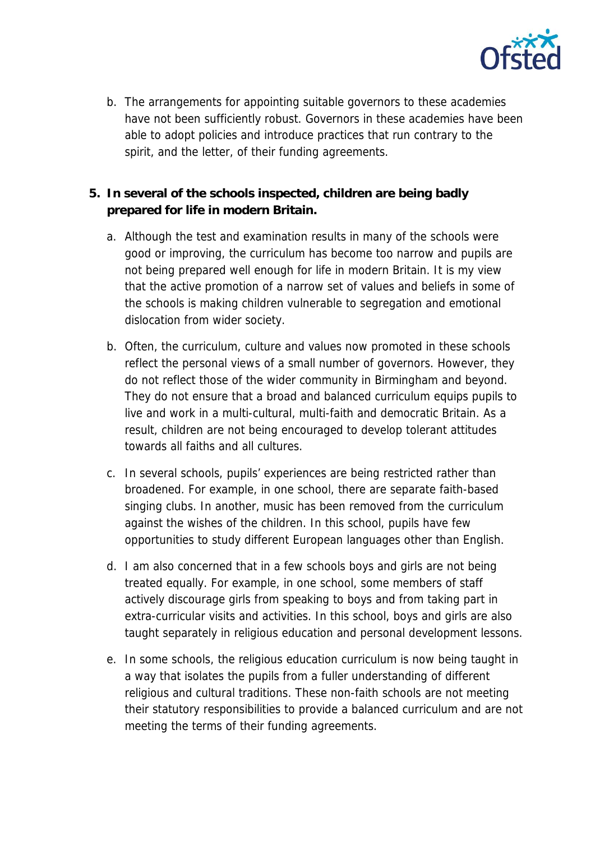

b. The arrangements for appointing suitable governors to these academies have not been sufficiently robust. Governors in these academies have been able to adopt policies and introduce practices that run contrary to the spirit, and the letter, of their funding agreements.

#### **5. In several of the schools inspected, children are being badly prepared for life in modern Britain.**

- a. Although the test and examination results in many of the schools were good or improving, the curriculum has become too narrow and pupils are not being prepared well enough for life in modern Britain. It is my view that the active promotion of a narrow set of values and beliefs in some of the schools is making children vulnerable to segregation and emotional dislocation from wider society.
- b. Often, the curriculum, culture and values now promoted in these schools reflect the personal views of a small number of governors. However, they do not reflect those of the wider community in Birmingham and beyond. They do not ensure that a broad and balanced curriculum equips pupils to live and work in a multi-cultural, multi-faith and democratic Britain. As a result, children are not being encouraged to develop tolerant attitudes towards all faiths and all cultures.
- c. In several schools, pupils' experiences are being restricted rather than broadened. For example, in one school, there are separate faith-based singing clubs. In another, music has been removed from the curriculum against the wishes of the children. In this school, pupils have few opportunities to study different European languages other than English.
- d. I am also concerned that in a few schools boys and girls are not being treated equally. For example, in one school, some members of staff actively discourage girls from speaking to boys and from taking part in extra-curricular visits and activities. In this school, boys and girls are also taught separately in religious education and personal development lessons.
- e. In some schools, the religious education curriculum is now being taught in a way that isolates the pupils from a fuller understanding of different religious and cultural traditions. These non-faith schools are not meeting their statutory responsibilities to provide a balanced curriculum and are not meeting the terms of their funding agreements.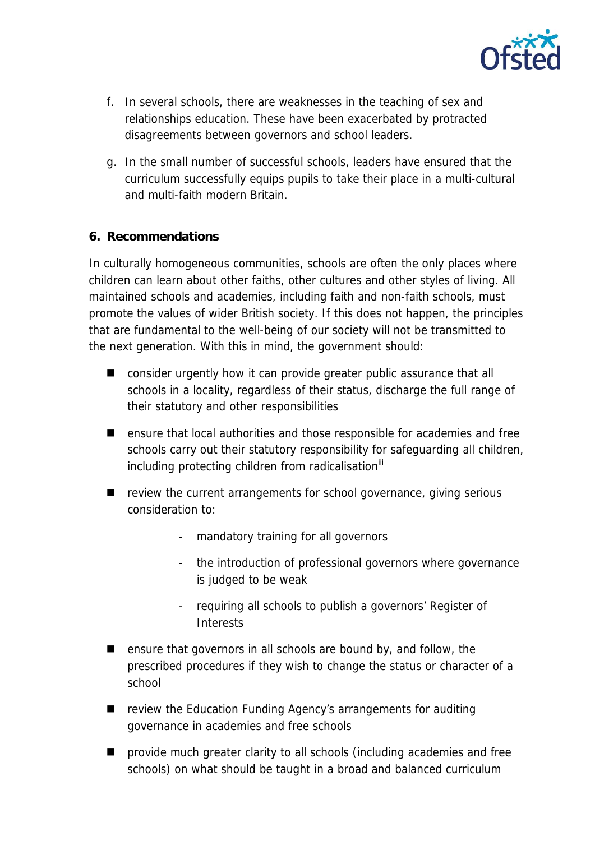

- f. In several schools, there are weaknesses in the teaching of sex and relationships education. These have been exacerbated by protracted disagreements between governors and school leaders.
- g. In the small number of successful schools, leaders have ensured that the curriculum successfully equips pupils to take their place in a multi-cultural and multi-faith modern Britain.

#### **6. Recommendations**

In culturally homogeneous communities, schools are often the only places where children can learn about other faiths, other cultures and other styles of living. All maintained schools and academies, including faith and non-faith schools, must promote the values of wider British society. If this does not happen, the principles that are fundamental to the well-being of our society will not be transmitted to the next generation. With this in mind, the government should:

- consider urgently how it can provide greater public assurance that all schools in a locality, regardless of their status, discharge the full range of their statutory and other responsibilities
- ensure that local authorities and those responsible for academies and free schools carry out their statutory responsibility for safeguarding all children, including protecting children from radicalisation<sup>iii</sup>
- $\blacksquare$  review the current arrangements for school governance, giving serious consideration to:
	- mandatory training for all governors
	- the introduction of professional governors where governance is judged to be weak
	- requiring all schools to publish a governors' Register of Interests
- ensure that governors in all schools are bound by, and follow, the prescribed procedures if they wish to change the status or character of a school
- review the Education Funding Agency's arrangements for auditing governance in academies and free schools
- **P** provide much greater clarity to all schools (including academies and free schools) on what should be taught in a broad and balanced curriculum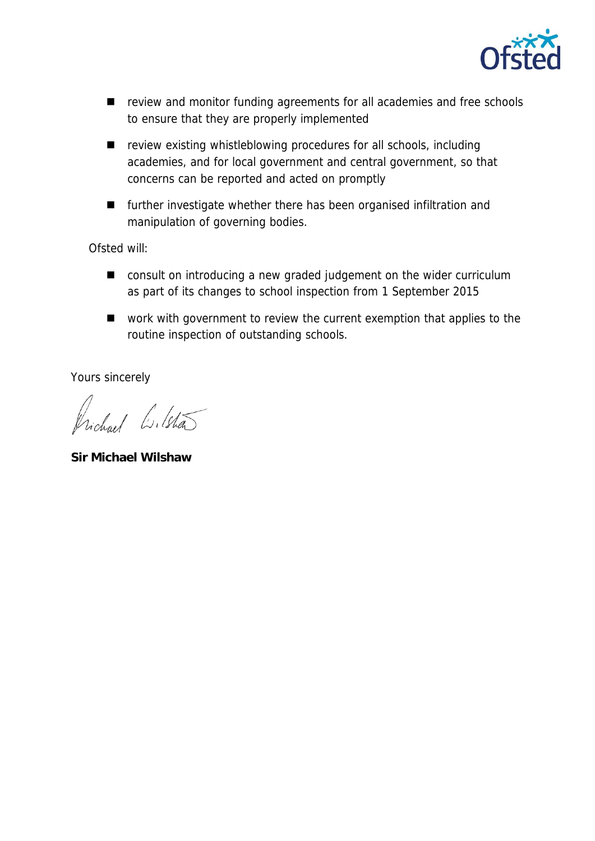

- review and monitor funding agreements for all academies and free schools to ensure that they are properly implemented
- review existing whistleblowing procedures for all schools, including academies, and for local government and central government, so that concerns can be reported and acted on promptly
- further investigate whether there has been organised infiltration and manipulation of governing bodies.

Ofsted will:

- consult on introducing a new graded judgement on the wider curriculum as part of its changes to school inspection from 1 September 2015
- work with government to review the current exemption that applies to the routine inspection of outstanding schools.

Yours sincerely

Prichael Wilsha

**Sir Michael Wilshaw**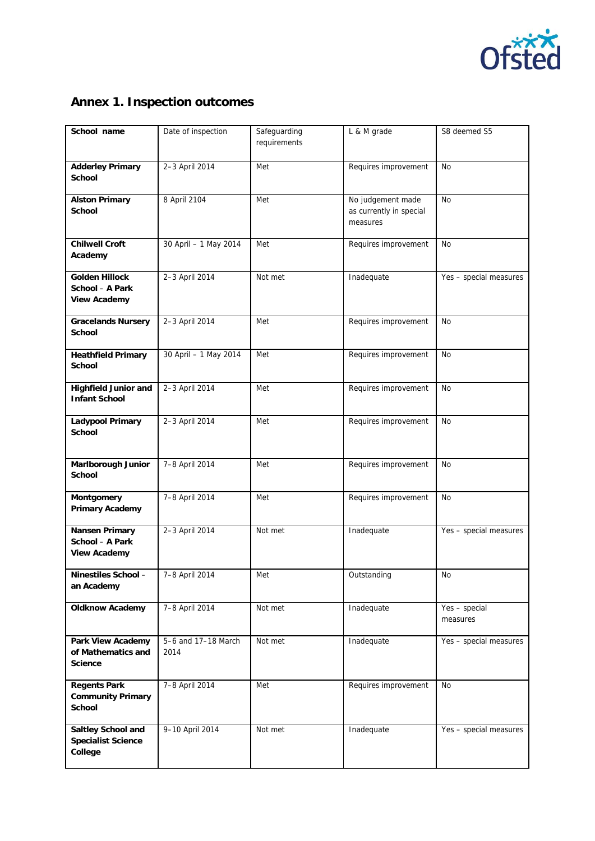

# **Annex 1. Inspection outcomes**

| School name                                                      | Date of inspection          | Safeguarding<br>requirements | L & M grade                                              | S8 deemed S5              |
|------------------------------------------------------------------|-----------------------------|------------------------------|----------------------------------------------------------|---------------------------|
| <b>Adderley Primary</b><br>School                                | 2-3 April 2014              | Met                          | Requires improvement                                     | <b>No</b>                 |
| <b>Alston Primary</b><br><b>School</b>                           | 8 April 2104                | Met                          | No judgement made<br>as currently in special<br>measures | <b>No</b>                 |
| <b>Chilwell Croft</b><br>Academy                                 | 30 April - 1 May 2014       | Met                          | Requires improvement                                     | No                        |
| <b>Golden Hillock</b><br>School - A Park<br><b>View Academy</b>  | 2-3 April 2014              | Not met                      | Inadequate                                               | Yes - special measures    |
| <b>Gracelands Nursery</b><br><b>School</b>                       | 2-3 April 2014              | Met                          | Requires improvement                                     | <b>No</b>                 |
| <b>Heathfield Primary</b><br><b>School</b>                       | 30 April - 1 May 2014       | Met                          | Requires improvement                                     | No                        |
| <b>Highfield Junior and</b><br><b>Infant School</b>              | 2-3 April 2014              | Met                          | Requires improvement                                     | No                        |
| <b>Ladypool Primary</b><br><b>School</b>                         | 2-3 April 2014              | Met                          | Requires improvement                                     | No                        |
| <b>Marlborough Junior</b><br><b>School</b>                       | 7-8 April 2014              | Met                          | Requires improvement                                     | <b>No</b>                 |
| Montgomery<br><b>Primary Academy</b>                             | 7-8 April 2014              | Met                          | Requires improvement                                     | No                        |
| <b>Nansen Primary</b><br>School - A Park<br><b>View Academy</b>  | 2-3 April 2014              | Not met                      | Inadequate                                               | Yes - special measures    |
| Ninestiles School -<br>an Academy                                | 7-8 April 2014              | Met                          | Outstanding                                              | No.                       |
| <b>Oldknow Academy</b>                                           | 7-8 April 2014              | Not met                      | Inadequate                                               | Yes - special<br>measures |
| Park View Academy<br>of Mathematics and<br><b>Science</b>        | 5-6 and 17-18 March<br>2014 | Not met                      | Inadequate                                               | Yes - special measures    |
| <b>Regents Park</b><br><b>Community Primary</b><br><b>School</b> | 7-8 April 2014              | Met                          | Requires improvement                                     | <b>No</b>                 |
| Saltley School and<br><b>Specialist Science</b><br>College       | 9-10 April 2014             | Not met                      | Inadequate                                               | Yes - special measures    |